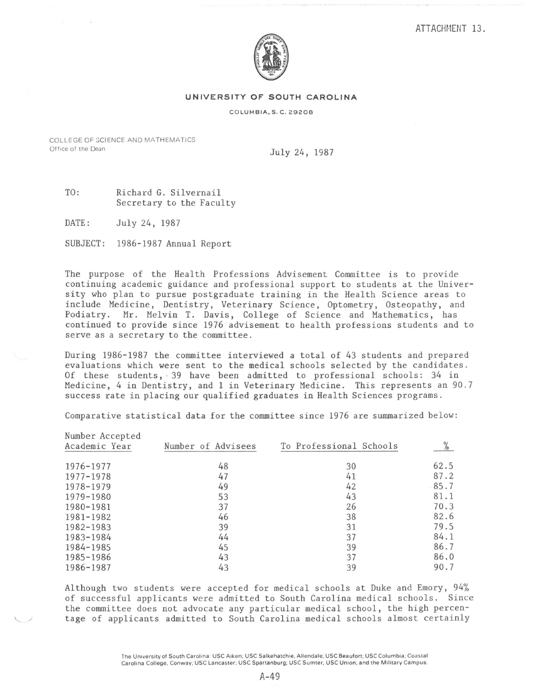

### **UNIVERSITY OF SOUTH CAROLINA**

COLUMBIA, S. C. 29208

COLLEGE OF SCIENCE AND MATHEMATICS Office of the Dean July 24, 1987

#### TO: Richard G. Silvernail Secretary to the Faculty

DATE: July 24, 1987

SUBJECT: 1986-1987 Annual Report

The purpose of the Health Professions Advisement Committee is to provide continuing academic guidance and professional support to students at the University who plan to pursue postgraduate training in the Health Science areas to include Medicine, Dentistry, Veterinary Science, Optometry, Osteopathy, and Podiatry. Mr. Melvin T. Davis, College of Science and Mathematics, has continued to provide since 1976 advisement to health professions students and to serve as a secretary to the committee.

During 1986-1987 the committee interviewed a total of 43 students and prepared evaluations which were sent to the medical schools selected by the candidates. Of these students, · 39 have been admitted to professional schools: 34 in Medicine, 4 in Dentistry, and 1 in Veterinary Medicine. This represents an 90.7 success rate in placing our qualified graduates in Health Sciences programs.

Comparative statistical data for the committee since 1976 are summarized below:

| Number Accepted |                    |                         |      |
|-----------------|--------------------|-------------------------|------|
| Academic Year   | Number of Advisees | To Professional Schools | $\%$ |
| 1976-1977       | 48                 | 30                      | 62.5 |
| 1977-1978       | 47                 | 41                      | 87.2 |
| 1978-1979       | 49                 | 42                      | 85.7 |
| 1979-1980       | 53                 | 43                      | 81.1 |
| 1980-1981       | 37                 | 26                      | 70.3 |
| 1981-1982       | 46                 | 38                      | 82.6 |
| 1982-1983       | 39                 | 31                      | 79.5 |
| 1983-1984       | 44                 | 37                      | 84.1 |
| 1984-1985       | 45                 | 39                      | 86.7 |
| 1985-1986       | 43                 | 37                      | 86.0 |
| 1986-1987       | 43                 | 39                      | 90.7 |

Although two students were accepted for medical schools at Duke and Emory, 94% of successful applicants were admitted to South Carolina medical schools. Since the committee does not advocate any particular medical school, the high percentage of applicants admitted to South Carolina medical schools almost certainly

> The University of South Carolina: USC Aiken; USC Salkehatchie, Allendale; USC Beaufort; USC Columbia; Coastal Carolina College. Conway; USC Lancaster; USC Spartanburg; USC Sumter; USC Union; and the Military Campus.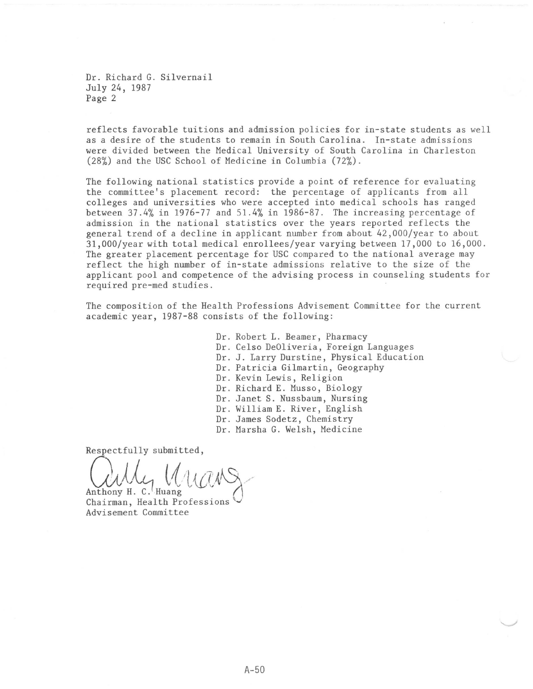Dr. Richard G. Silvernail July 24, 1987 Page 2

reflects favorable tuitions and admission policies for in-state students as well as a desire of the students to remain in South Carolina. In-state admissions were divided between the Medical University of South Carolina in Charleston (28%) and the USC School of Medicine in Columbia (72%).

The following national statistics provide *a* point of reference for evaluating the committee's placement record: the percentage of applicants from all colleges and universities who were accepted into medical schools has ranged between 37.4% in 1976-77 and 51.4% in 1986-87. The increasing percentage of admission in the national statistics over the years reported reflects the general trend of a decline in applicant number from about 42,000/year to about 31,000/year with total medical enrollees/year varying between 17,000 to 16,000. The greater placement percentage for USC compared to the national average may reflect the high number of in-state admissions relative to the size of the applicant pool and competence of the advising process in counseling students for required pre-med studies.

The composition of the Health Professions Advisement Committee for the current academic year, 1987-88 consists of the following:

> Dr. Robert L. Beamer, Pharmacy Dr. Celso DeOliveria, Foreign Languages Dr. J. Larry Durstine, Physical Education Dr. Patricia Gilmartin, Geography Dr. Kevin Lewis, Religion Dr. Richard E. Musso, Biology Dr. Janet S. Nussbaum, Nursing Dr. William E. River, English Dr. James Sodetz, Chemistry Dr. Marsha G. Welsh, Medicine

Respectfully submitted,

Catly Unanz Anthony H. C. Huang

Chairman, Health Professions Advisement Committee